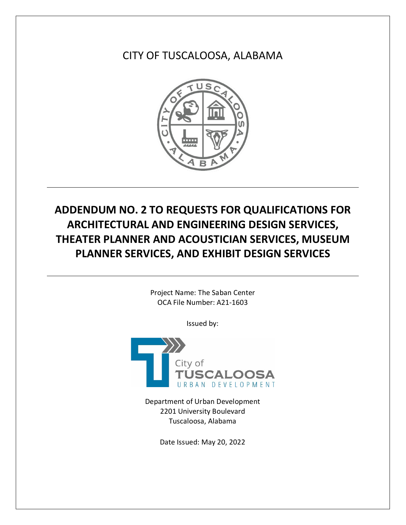CITY OF TUSCALOOSA, ALABAMA



# **ADDENDUM NO. 2 TO REQUESTS FOR QUALIFICATIONS FOR ARCHITECTURAL AND ENGINEERING DESIGN SERVICES, THEATER PLANNER AND ACOUSTICIAN SERVICES, MUSEUM PLANNER SERVICES, AND EXHIBIT DESIGN SERVICES**

Project Name: The Saban Center OCA File Number: A21-1603

Issued by:



Department of Urban Development 2201 University Boulevard Tuscaloosa, Alabama

Date Issued: May 20, 2022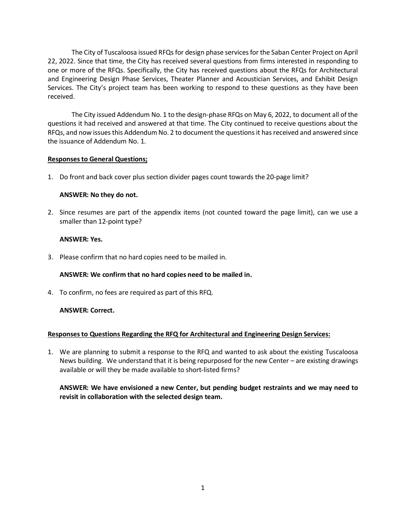The City of Tuscaloosa issued RFQs for design phase services for the Saban Center Project on April 22, 2022. Since that time, the City has received several questions from firms interested in responding to one or more of the RFQs. Specifically, the City has received questions about the RFQs for Architectural and Engineering Design Phase Services, Theater Planner and Acoustician Services, and Exhibit Design Services. The City's project team has been working to respond to these questions as they have been received.

The City issued Addendum No. 1 to the design-phase RFQs on May 6, 2022, to document all of the questions it had received and answered at that time. The City continued to receive questions about the RFQs, and now issues this Addendum No. 2 to document the questions it has received and answered since the issuance of Addendum No. 1.

# **Responses to General Questions;**

1. Do front and back cover plus section divider pages count towards the 20-page limit?

# **ANSWER: No they do not.**

2. Since resumes are part of the appendix items (not counted toward the page limit), can we use a smaller than 12-point type?

## **ANSWER: Yes.**

3. Please confirm that no hard copies need to be mailed in.

# **ANSWER: We confirm that no hard copies need to be mailed in.**

4. To confirm, no fees are required as part of this RFQ.

# **ANSWER: Correct.**

#### **Responses to Questions Regarding the RFQ for Architectural and Engineering Design Services:**

1. We are planning to submit a response to the RFQ and wanted to ask about the existing Tuscaloosa News building. We understand that it is being repurposed for the new Center – are existing drawings available or will they be made available to short-listed firms?

# **ANSWER: We have envisioned a new Center, but pending budget restraints and we may need to revisit in collaboration with the selected design team.**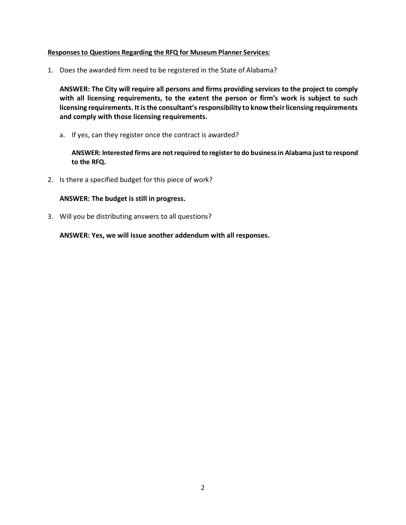# **Responses to Questions Regarding the RFQ for Museum Planner Services:**

1. Does the awarded firm need to be registered in the State of Alabama?

**ANSWER: The City will require all persons and firms providing services to the project to comply with all licensing requirements, to the extent the person or firm's work is subject to such licensing requirements. It is the consultant's responsibility to know their licensing requirements and comply with those licensing requirements.**

a. If yes, can they register once the contract is awarded?

**ANSWER: Interested firms are not required to register to do business in Alabama just to respond to the RFQ.**

2. Is there a specified budget for this piece of work?

## **ANSWER: The budget is still in progress.**

3. Will you be distributing answers to all questions?

**ANSWER: Yes, we will issue another addendum with all responses.**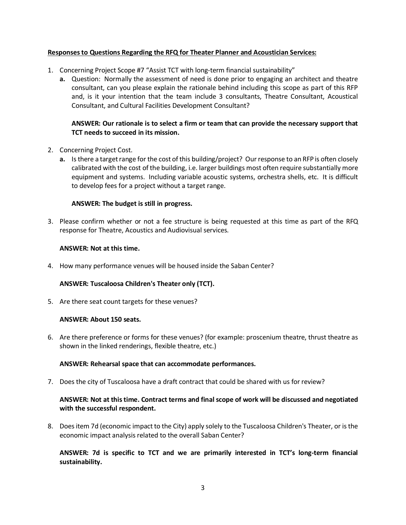# **Responses to Questions Regarding the RFQ for Theater Planner and Acoustician Services:**

- 1. Concerning Project Scope #7 "Assist TCT with long-term financial sustainability"
	- **a.** Question: Normally the assessment of need is done prior to engaging an architect and theatre consultant, can you please explain the rationale behind including this scope as part of this RFP and, is it your intention that the team include 3 consultants, Theatre Consultant, Acoustical Consultant, and Cultural Facilities Development Consultant?

# **ANSWER: Our rationale is to select a firm or team that can provide the necessary support that TCT needs to succeed in its mission.**

- 2. Concerning Project Cost.
	- **a.** Is there a target range for the cost of this building/project? Our response to an RFP is often closely calibrated with the cost of the building, i.e. larger buildings most often require substantially more equipment and systems. Including variable acoustic systems, orchestra shells, etc. It is difficult to develop fees for a project without a target range.

## **ANSWER: The budget is still in progress.**

3. Please confirm whether or not a fee structure is being requested at this time as part of the RFQ response for Theatre, Acoustics and Audiovisual services.

#### **ANSWER: Not at this time.**

4. How many performance venues will be housed inside the Saban Center?

# **ANSWER: Tuscaloosa Children's Theater only (TCT).**

5. Are there seat count targets for these venues?

#### **ANSWER: About 150 seats.**

6. Are there preference or forms for these venues? (for example: proscenium theatre, thrust theatre as shown in the linked renderings, flexible theatre, etc.)

#### **ANSWER: Rehearsal space that can accommodate performances.**

7. Does the city of Tuscaloosa have a draft contract that could be shared with us for review?

# **ANSWER: Not at this time. Contract terms and final scope of work will be discussed and negotiated with the successful respondent.**

8. Does item 7d (economic impact to the City) apply solely to the Tuscaloosa Children's Theater, or is the economic impact analysis related to the overall Saban Center?

# **ANSWER: 7d is specific to TCT and we are primarily interested in TCT's long-term financial sustainability.**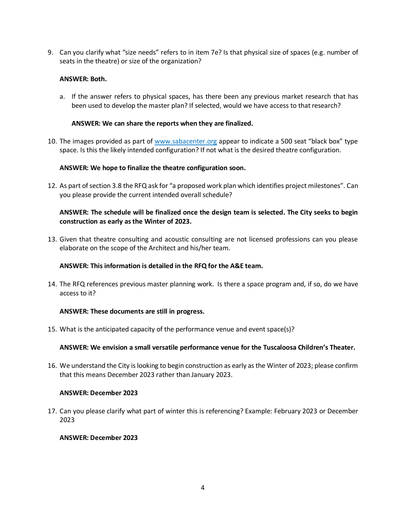9. Can you clarify what "size needs" refers to in item 7e? Is that physical size of spaces (e.g. number of seats in the theatre) or size of the organization?

## **ANSWER: Both.**

a. If the answer refers to physical spaces, has there been any previous market research that has been used to develop the master plan? If selected, would we have access to that research?

## **ANSWER: We can share the reports when they are finalized.**

10. The images provided as part of [www.sabacenter.org](http://www.sabacenter.org/) appear to indicate a 500 seat "black box" type space. Is this the likely intended configuration? If not what is the desired theatre configuration.

# **ANSWER: We hope to finalize the theatre configuration soon.**

12. As part of section 3.8 the RFQ ask for "a proposed work plan which identifies project milestones". Can you please provide the current intended overall schedule?

# **ANSWER: The schedule will be finalized once the design team is selected. The City seeks to begin construction as early as the Winter of 2023.**

13. Given that theatre consulting and acoustic consulting are not licensed professions can you please elaborate on the scope of the Architect and his/her team.

## **ANSWER: This information is detailed in the RFQ for the A&E team.**

14. The RFQ references previous master planning work. Is there a space program and, if so, do we have access to it?

# **ANSWER: These documents are still in progress.**

15. What is the anticipated capacity of the performance venue and event space(s)?

# **ANSWER: We envision a small versatile performance venue for the Tuscaloosa Children's Theater.**

16. We understand the City is looking to begin construction as early as the Winter of 2023; please confirm that this means December 2023 rather than January 2023.

#### **ANSWER: December 2023**

17. Can you please clarify what part of winter this is referencing? Example: February 2023 or December 2023

## **ANSWER: December 2023**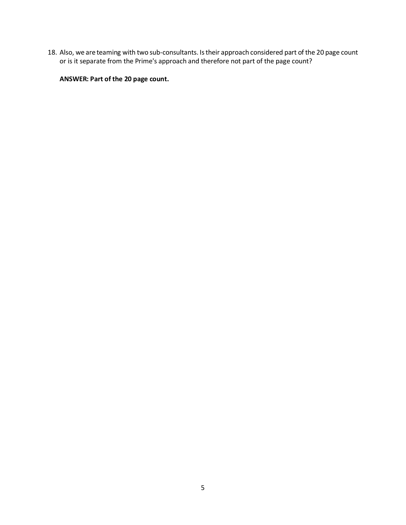18. Also, we are teaming with two sub-consultants. Is their approach considered part of the 20 page count or is it separate from the Prime's approach and therefore not part of the page count?

**ANSWER: Part of the 20 page count.**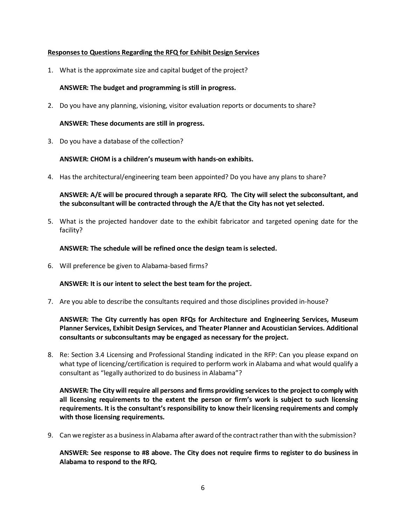## **Responses to Questions Regarding the RFQ for Exhibit Design Services**

1. What is the approximate size and capital budget of the project?

## **ANSWER: The budget and programming is still in progress.**

2. Do you have any planning, visioning, visitor evaluation reports or documents to share?

#### **ANSWER: These documents are still in progress.**

3. Do you have a database of the collection?

## **ANSWER: CHOM is a children's museum with hands-on exhibits.**

4. Has the architectural/engineering team been appointed? Do you have any plans to share?

**ANSWER: A/E will be procured through a separate RFQ. The City will select the subconsultant, and the subconsultant will be contracted through the A/E that the City has not yet selected.**

5. What is the projected handover date to the exhibit fabricator and targeted opening date for the facility?

## **ANSWER: The schedule will be refined once the design team is selected.**

6. Will preference be given to Alabama-based firms?

# **ANSWER: It is our intent to select the best team for the project.**

7. Are you able to describe the consultants required and those disciplines provided in-house?

# **ANSWER: The City currently has open RFQs for Architecture and Engineering Services, Museum Planner Services, Exhibit Design Services, and Theater Planner and Acoustician Services. Additional consultants or subconsultants may be engaged as necessary for the project.**

8. Re: Section 3.4 Licensing and Professional Standing indicated in the RFP: Can you please expand on what type of licencing/certification is required to perform work in Alabama and what would qualify a consultant as "legally authorized to do business in Alabama"?

**ANSWER: The City will require all persons and firms providing services to the project to comply with all licensing requirements to the extent the person or firm's work is subject to such licensing requirements. It is the consultant's responsibility to know their licensing requirements and comply with those licensing requirements.**

9. Can we register as a business in Alabama after award of the contract rather than with the submission?

**ANSWER: See response to #8 above. The City does not require firms to register to do business in Alabama to respond to the RFQ.**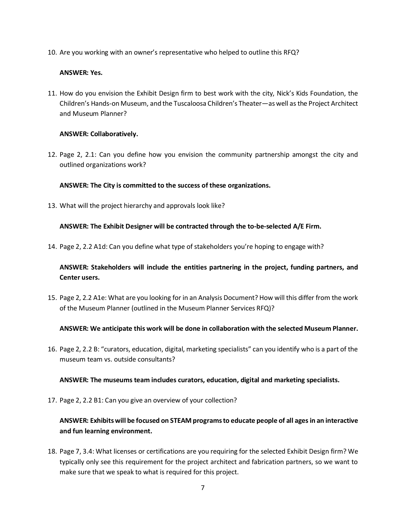10. Are you working with an owner's representative who helped to outline this RFQ?

# **ANSWER: Yes.**

11. How do you envision the Exhibit Design firm to best work with the city, Nick's Kids Foundation, the Children's Hands-on Museum, and the Tuscaloosa Children's Theater—as well as the Project Architect and Museum Planner?

# **ANSWER: Collaboratively.**

12. Page 2, 2.1: Can you define how you envision the community partnership amongst the city and outlined organizations work?

# **ANSWER: The City is committed to the success of these organizations.**

13. What will the project hierarchy and approvals look like?

# **ANSWER: The Exhibit Designer will be contracted through the to-be-selected A/E Firm.**

14. Page 2, 2.2 A1d: Can you define what type of stakeholders you're hoping to engage with?

# **ANSWER: Stakeholders will include the entities partnering in the project, funding partners, and Center users.**

15. Page 2, 2.2 A1e: What are you looking for in an Analysis Document? How will this differ from the work of the Museum Planner (outlined in the Museum Planner Services RFQ)?

# **ANSWER: We anticipate this work will be done in collaboration with the selected Museum Planner.**

16. Page 2, 2.2 B: "curators, education, digital, marketing specialists" can you identify who is a part of the museum team vs. outside consultants?

# **ANSWER: The museums team includes curators, education, digital and marketing specialists.**

17. Page 2, 2.2 B1: Can you give an overview of your collection?

# **ANSWER: Exhibits will be focused on STEAM programs to educate people of all ages in an interactive and fun learning environment.**

18. Page 7, 3.4: What licenses or certifications are you requiring for the selected Exhibit Design firm? We typically only see this requirement for the project architect and fabrication partners, so we want to make sure that we speak to what is required for this project.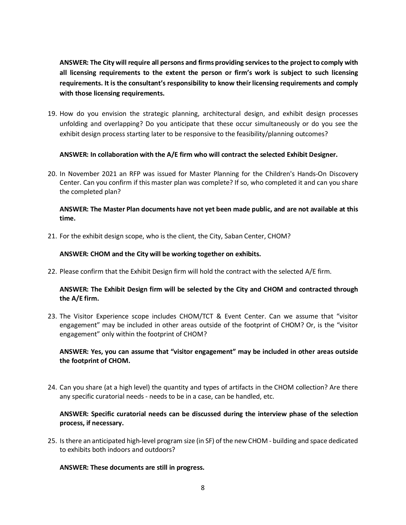**ANSWER: The City will require all persons and firms providing services to the project to comply with all licensing requirements to the extent the person or firm's work is subject to such licensing requirements. It is the consultant's responsibility to know their licensing requirements and comply with those licensing requirements.**

19. How do you envision the strategic planning, architectural design, and exhibit design processes unfolding and overlapping? Do you anticipate that these occur simultaneously or do you see the exhibit design process starting later to be responsive to the feasibility/planning outcomes?

# **ANSWER: In collaboration with the A/E firm who will contract the selected Exhibit Designer.**

20. In November 2021 an RFP was issued for Master Planning for the Children's Hands-On Discovery Center. Can you confirm if this master plan was complete? If so, who completed it and can you share the completed plan?

# **ANSWER: The Master Plan documents have not yet been made public, and are not available at this time.**

21. For the exhibit design scope, who is the client, the City, Saban Center, CHOM?

## **ANSWER: CHOM and the City will be working together on exhibits.**

22. Please confirm that the Exhibit Design firm will hold the contract with the selected A/E firm.

# **ANSWER: The Exhibit Design firm will be selected by the City and CHOM and contracted through the A/E firm.**

23. The Visitor Experience scope includes CHOM/TCT & Event Center. Can we assume that "visitor engagement" may be included in other areas outside of the footprint of CHOM? Or, is the "visitor engagement" only within the footprint of CHOM?

# **ANSWER: Yes, you can assume that "visitor engagement" may be included in other areas outside the footprint of CHOM.**

24. Can you share (at a high level) the quantity and types of artifacts in the CHOM collection? Are there any specific curatorial needs - needs to be in a case, can be handled, etc.

# **ANSWER: Specific curatorial needs can be discussed during the interview phase of the selection process, if necessary.**

25. Is there an anticipated high-level program size (in SF) of the new CHOM - building and space dedicated to exhibits both indoors and outdoors?

# **ANSWER: These documents are still in progress.**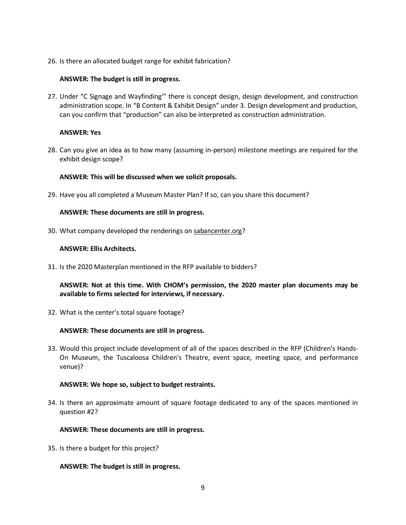26. Is there an allocated budget range for exhibit fabrication?

## **ANSWER: The budget is still in progress.**

27. Under "C Signage and Wayfinding'" there is concept design, design development, and construction administration scope. In "B Content & Exhibit Design" under 3. Design development and production, can you confirm that "production" can also be interpreted as construction administration.

## **ANSWER: Yes**

28. Can you give an idea as to how many (assuming in-person) milestone meetings are required for the exhibit design scope?

## **ANSWER: This will be discussed when we solicit proposals.**

29. Have you all completed a Museum Master Plan? If so, can you share this document?

## **ANSWER: These documents are still in progress.**

30. What company developed the renderings on [sabancenter.org?](https://nam04.safelinks.protection.outlook.com/?url=https%3A%2F%2Flinkprotect.cudasvc.com%2Furl%3Fa%3Dhttp%253a%252f%252fsabancenter.org%26c%3DE%2C1%2CEnsyfAwaWnzEP1aWmp9f7FYXENmpzRUjSNE3aaG3_8N2sk37QEfXfKKCQdNJz1BPVUaIh4eppVcw7OfJDr1UGihyDRvYeBJSMGN4i9pN%26typo%3D1&data=05%7C01%7C%7C8c55484d3f6b4826d66608da39e64c08%7Ca55cda62082e4ec28b86cd7170d993cc%7C1%7C1%7C637885958605223983%7CUnknown%7CTWFpbGZsb3d8eyJWIjoiMC4wLjAwMDAiLCJQIjoiV2luMzIiLCJBTiI6Ik1haWwiLCJXVCI6Mn0%3D%7C2000%7C%7C%7C&sdata=1j%2FJ3mC0PCvoG8fskAzXgJmE1dICw3UxkNOjSlP2k1Y%3D&reserved=0)

## **ANSWER: Ellis Architects.**

31. Is the 2020 Masterplan mentioned in the RFP available to bidders?

**ANSWER: Not at this time. With CHOM's permission, the 2020 master plan documents may be available to firms selected for interviews, if necessary.**

32. What is the center's total square footage?

#### **ANSWER: These documents are still in progress.**

33. Would this project include development of all of the spaces described in the RFP (Children's Hands-On Museum, the Tuscaloosa Children's Theatre, event space, meeting space, and performance venue)?

# **ANSWER: We hope so, subject to budget restraints.**

34. Is there an approximate amount of square footage dedicated to any of the spaces mentioned in question #2?

#### **ANSWER: These documents are still in progress.**

35. Is there a budget for this project?

# **ANSWER: The budget is still in progress.**